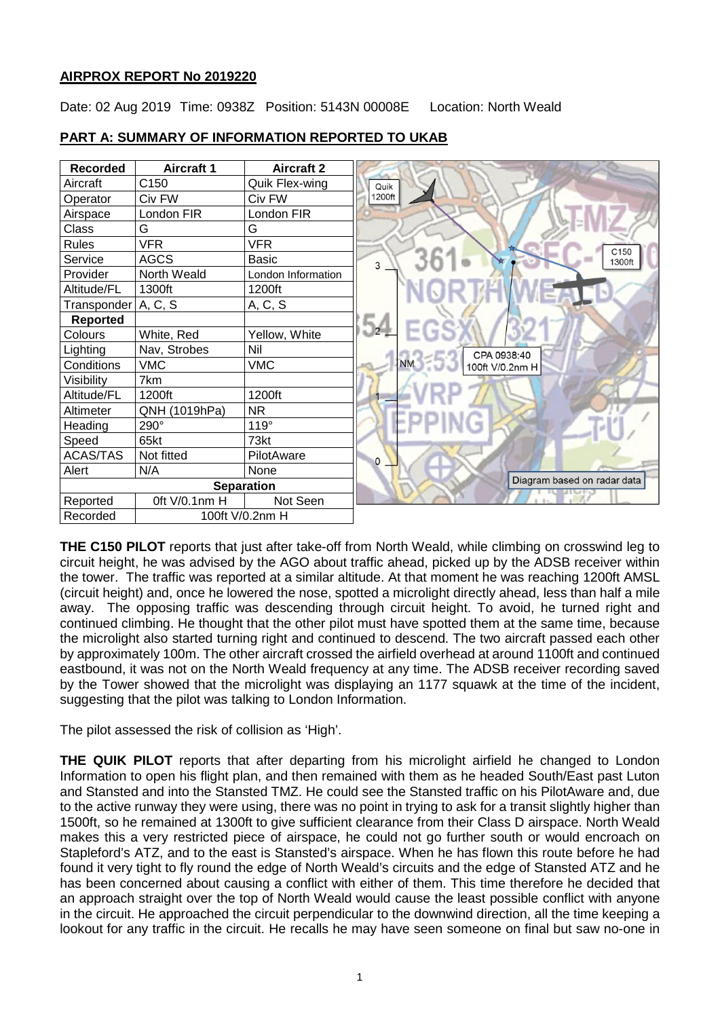# **AIRPROX REPORT No 2019220**

Date: 02 Aug 2019 Time: 0938Z Position: 5143N 00008E Location: North Weald



### **PART A: SUMMARY OF INFORMATION REPORTED TO UKAB**

**THE C150 PILOT** reports that just after take-off from North Weald, while climbing on crosswind leg to circuit height, he was advised by the AGO about traffic ahead, picked up by the ADSB receiver within the tower. The traffic was reported at a similar altitude. At that moment he was reaching 1200ft AMSL (circuit height) and, once he lowered the nose, spotted a microlight directly ahead, less than half a mile away. The opposing traffic was descending through circuit height. To avoid, he turned right and continued climbing. He thought that the other pilot must have spotted them at the same time, because the microlight also started turning right and continued to descend. The two aircraft passed each other by approximately 100m. The other aircraft crossed the airfield overhead at around 1100ft and continued eastbound, it was not on the North Weald frequency at any time. The ADSB receiver recording saved by the Tower showed that the microlight was displaying an 1177 squawk at the time of the incident, suggesting that the pilot was talking to London Information.

The pilot assessed the risk of collision as 'High'.

**THE QUIK PILOT** reports that after departing from his microlight airfield he changed to London Information to open his flight plan, and then remained with them as he headed South/East past Luton and Stansted and into the Stansted TMZ. He could see the Stansted traffic on his PilotAware and, due to the active runway they were using, there was no point in trying to ask for a transit slightly higher than 1500ft, so he remained at 1300ft to give sufficient clearance from their Class D airspace. North Weald makes this a very restricted piece of airspace, he could not go further south or would encroach on Stapleford's ATZ, and to the east is Stansted's airspace. When he has flown this route before he had found it very tight to fly round the edge of North Weald's circuits and the edge of Stansted ATZ and he has been concerned about causing a conflict with either of them. This time therefore he decided that an approach straight over the top of North Weald would cause the least possible conflict with anyone in the circuit. He approached the circuit perpendicular to the downwind direction, all the time keeping a lookout for any traffic in the circuit. He recalls he may have seen someone on final but saw no-one in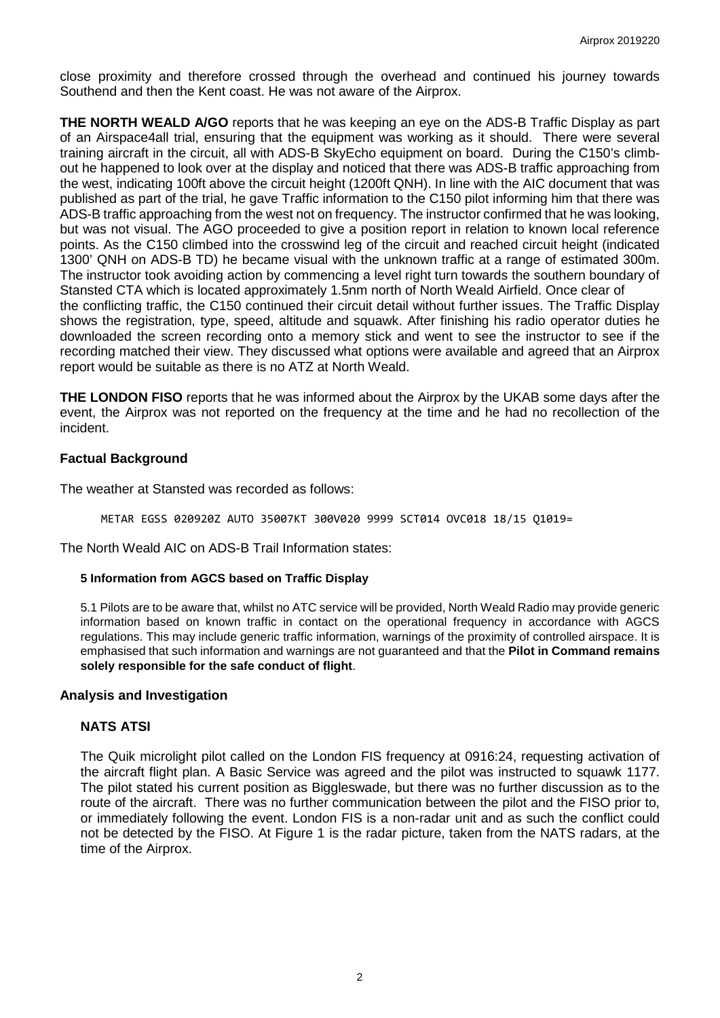close proximity and therefore crossed through the overhead and continued his journey towards Southend and then the Kent coast. He was not aware of the Airprox.

**THE NORTH WEALD A/GO** reports that he was keeping an eye on the ADS-B Traffic Display as part of an Airspace4all trial, ensuring that the equipment was working as it should. There were several training aircraft in the circuit, all with ADS-B SkyEcho equipment on board. During the C150's climbout he happened to look over at the display and noticed that there was ADS-B traffic approaching from the west, indicating 100ft above the circuit height (1200ft QNH). In line with the AIC document that was published as part of the trial, he gave Traffic information to the C150 pilot informing him that there was ADS-B traffic approaching from the west not on frequency. The instructor confirmed that he was looking, but was not visual. The AGO proceeded to give a position report in relation to known local reference points. As the C150 climbed into the crosswind leg of the circuit and reached circuit height (indicated 1300' QNH on ADS-B TD) he became visual with the unknown traffic at a range of estimated 300m. The instructor took avoiding action by commencing a level right turn towards the southern boundary of Stansted CTA which is located approximately 1.5nm north of North Weald Airfield. Once clear of the conflicting traffic, the C150 continued their circuit detail without further issues. The Traffic Display shows the registration, type, speed, altitude and squawk. After finishing his radio operator duties he downloaded the screen recording onto a memory stick and went to see the instructor to see if the recording matched their view. They discussed what options were available and agreed that an Airprox report would be suitable as there is no ATZ at North Weald.

**THE LONDON FISO** reports that he was informed about the Airprox by the UKAB some days after the event, the Airprox was not reported on the frequency at the time and he had no recollection of the incident.

# **Factual Background**

The weather at Stansted was recorded as follows:

METAR EGSS 020920Z AUTO 35007KT 300V020 9999 SCT014 OVC018 18/15 Q1019=

The North Weald AIC on ADS-B Trail Information states:

#### **5 Information from AGCS based on Traffic Display**

5.1 Pilots are to be aware that, whilst no ATC service will be provided, North Weald Radio may provide generic information based on known traffic in contact on the operational frequency in accordance with AGCS regulations. This may include generic traffic information, warnings of the proximity of controlled airspace. It is emphasised that such information and warnings are not guaranteed and that the **Pilot in Command remains solely responsible for the safe conduct of flight**.

# **Analysis and Investigation**

# **NATS ATSI**

The Quik microlight pilot called on the London FIS frequency at 0916:24, requesting activation of the aircraft flight plan. A Basic Service was agreed and the pilot was instructed to squawk 1177. The pilot stated his current position as Biggleswade, but there was no further discussion as to the route of the aircraft. There was no further communication between the pilot and the FISO prior to, or immediately following the event. London FIS is a non-radar unit and as such the conflict could not be detected by the FISO. At Figure 1 is the radar picture, taken from the NATS radars, at the time of the Airprox.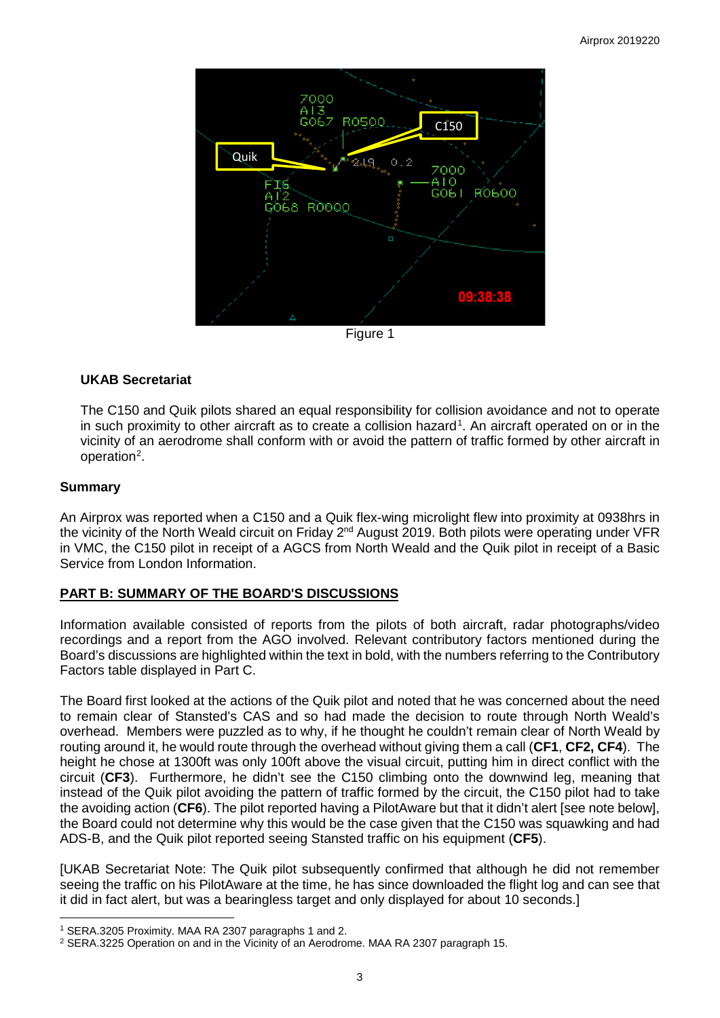

### **UKAB Secretariat**

The C150 and Quik pilots shared an equal responsibility for collision avoidance and not to operate in such proximity to other aircraft as to create a collision hazard<sup>[1](#page-2-0)</sup>. An aircraft operated on or in the vicinity of an aerodrome shall conform with or avoid the pattern of traffic formed by other aircraft in operation<sup>[2](#page-2-1)</sup>.

#### **Summary**

 $\overline{\phantom{a}}$ 

An Airprox was reported when a C150 and a Quik flex-wing microlight flew into proximity at 0938hrs in the vicinity of the North Weald circuit on Friday 2<sup>nd</sup> August 2019. Both pilots were operating under VFR in VMC, the C150 pilot in receipt of a AGCS from North Weald and the Quik pilot in receipt of a Basic Service from London Information.

# **PART B: SUMMARY OF THE BOARD'S DISCUSSIONS**

Information available consisted of reports from the pilots of both aircraft, radar photographs/video recordings and a report from the AGO involved. Relevant contributory factors mentioned during the Board's discussions are highlighted within the text in bold, with the numbers referring to the Contributory Factors table displayed in Part C.

The Board first looked at the actions of the Quik pilot and noted that he was concerned about the need to remain clear of Stansted's CAS and so had made the decision to route through North Weald's overhead. Members were puzzled as to why, if he thought he couldn't remain clear of North Weald by routing around it, he would route through the overhead without giving them a call (**CF1**, **CF2, CF4**). The height he chose at 1300ft was only 100ft above the visual circuit, putting him in direct conflict with the circuit (**CF3**). Furthermore, he didn't see the C150 climbing onto the downwind leg, meaning that instead of the Quik pilot avoiding the pattern of traffic formed by the circuit, the C150 pilot had to take the avoiding action (**CF6**). The pilot reported having a PilotAware but that it didn't alert [see note below], the Board could not determine why this would be the case given that the C150 was squawking and had ADS-B, and the Quik pilot reported seeing Stansted traffic on his equipment (**CF5**).

[UKAB Secretariat Note: The Quik pilot subsequently confirmed that although he did not remember seeing the traffic on his PilotAware at the time, he has since downloaded the flight log and can see that it did in fact alert, but was a bearingless target and only displayed for about 10 seconds.]

<span id="page-2-0"></span><sup>1</sup> SERA.3205 Proximity. MAA RA 2307 paragraphs 1 and 2.

<span id="page-2-1"></span><sup>2</sup> SERA.3225 Operation on and in the Vicinity of an Aerodrome. MAA RA 2307 paragraph 15.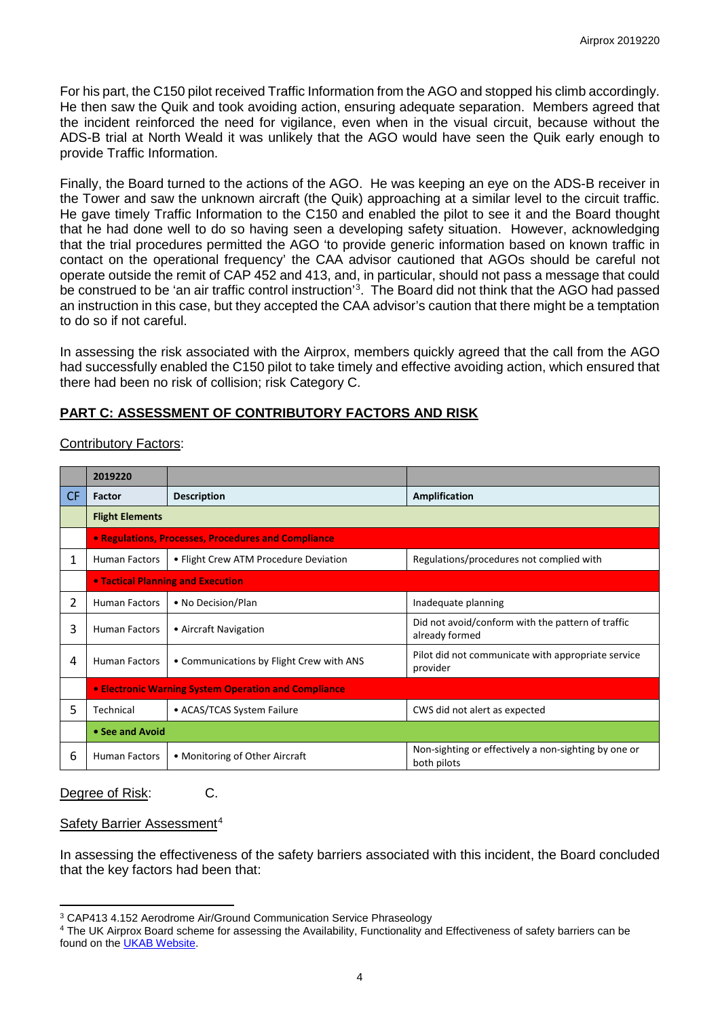For his part, the C150 pilot received Traffic Information from the AGO and stopped his climb accordingly. He then saw the Quik and took avoiding action, ensuring adequate separation. Members agreed that the incident reinforced the need for vigilance, even when in the visual circuit, because without the ADS-B trial at North Weald it was unlikely that the AGO would have seen the Quik early enough to provide Traffic Information.

Finally, the Board turned to the actions of the AGO. He was keeping an eye on the ADS-B receiver in the Tower and saw the unknown aircraft (the Quik) approaching at a similar level to the circuit traffic. He gave timely Traffic Information to the C150 and enabled the pilot to see it and the Board thought that he had done well to do so having seen a developing safety situation. However, acknowledging that the trial procedures permitted the AGO 'to provide generic information based on known traffic in contact on the operational frequency' the CAA advisor cautioned that AGOs should be careful not operate outside the remit of CAP 452 and 413, and, in particular, should not pass a message that could be construed to be 'an air traffic control instruction'<sup>[3](#page-3-0)</sup>. The Board did not think that the AGO had passed an instruction in this case, but they accepted the CAA advisor's caution that there might be a temptation to do so if not careful.

In assessing the risk associated with the Airprox, members quickly agreed that the call from the AGO had successfully enabled the C150 pilot to take timely and effective avoiding action, which ensured that there had been no risk of collision; risk Category C.

# **PART C: ASSESSMENT OF CONTRIBUTORY FACTORS AND RISK**

| <b>Contributory Factors:</b> |
|------------------------------|
|------------------------------|

|           | 2019220                                                     |                                          |                                                                     |  |  |  |  |  |
|-----------|-------------------------------------------------------------|------------------------------------------|---------------------------------------------------------------------|--|--|--|--|--|
| <b>CF</b> | <b>Factor</b>                                               | <b>Description</b>                       | Amplification                                                       |  |  |  |  |  |
|           | <b>Flight Elements</b>                                      |                                          |                                                                     |  |  |  |  |  |
|           | • Regulations, Processes, Procedures and Compliance         |                                          |                                                                     |  |  |  |  |  |
| 1         | <b>Human Factors</b>                                        | • Flight Crew ATM Procedure Deviation    | Regulations/procedures not complied with                            |  |  |  |  |  |
|           | <b>• Tactical Planning and Execution</b>                    |                                          |                                                                     |  |  |  |  |  |
| 2         | <b>Human Factors</b>                                        | • No Decision/Plan                       | Inadequate planning                                                 |  |  |  |  |  |
| 3         | <b>Human Factors</b>                                        | • Aircraft Navigation                    | Did not avoid/conform with the pattern of traffic<br>already formed |  |  |  |  |  |
| 4         | <b>Human Factors</b>                                        | • Communications by Flight Crew with ANS | Pilot did not communicate with appropriate service<br>provider      |  |  |  |  |  |
|           | <b>• Electronic Warning System Operation and Compliance</b> |                                          |                                                                     |  |  |  |  |  |
| 5         | Technical                                                   | • ACAS/TCAS System Failure               | CWS did not alert as expected                                       |  |  |  |  |  |
|           | • See and Avoid                                             |                                          |                                                                     |  |  |  |  |  |
| 6         | <b>Human Factors</b>                                        | • Monitoring of Other Aircraft           | Non-sighting or effectively a non-sighting by one or<br>both pilots |  |  |  |  |  |

# Degree of Risk: C.

#### Safety Barrier Assessment<sup>[4](#page-3-1)</sup>

In assessing the effectiveness of the safety barriers associated with this incident, the Board concluded that the key factors had been that:

l <sup>3</sup> CAP413 4.152 Aerodrome Air/Ground Communication Service Phraseology

<span id="page-3-1"></span><span id="page-3-0"></span><sup>4</sup> The UK Airprox Board scheme for assessing the Availability, Functionality and Effectiveness of safety barriers can be found on the [UKAB Website.](http://www.airproxboard.org.uk/Learn-more/Airprox-Barrier-Assessment/)